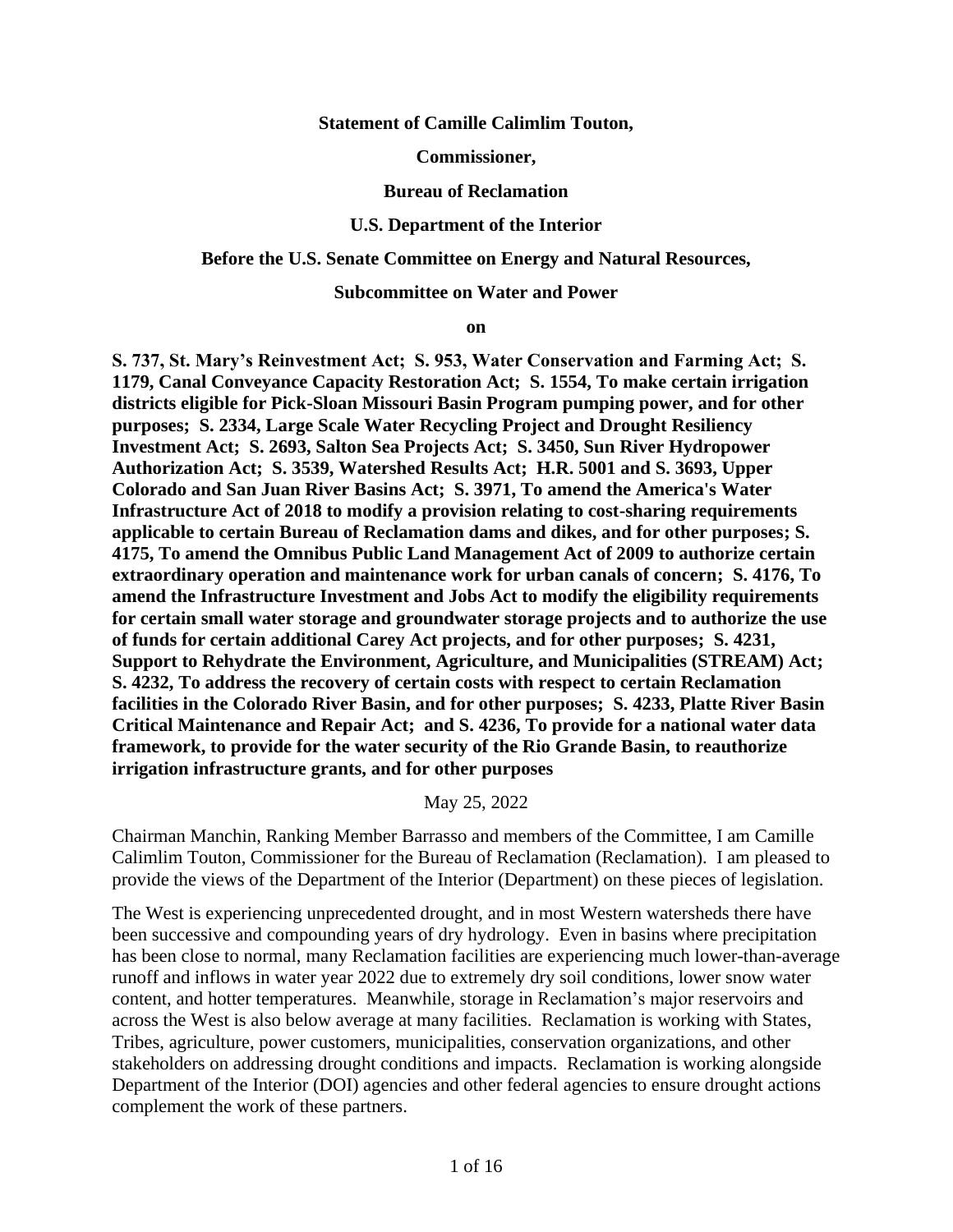**Statement of Camille Calimlim Touton,** 

**Commissioner,**

#### **Bureau of Reclamation**

#### **U.S. Department of the Interior**

#### **Before the U.S. Senate Committee on Energy and Natural Resources,**

#### **Subcommittee on Water and Power**

#### **on**

**S. 737, St. Mary's Reinvestment Act; S. 953, Water Conservation and Farming Act; S. 1179, Canal Conveyance Capacity Restoration Act; S. 1554, To make certain irrigation districts eligible for Pick-Sloan Missouri Basin Program pumping power, and for other purposes; S. 2334, Large Scale Water Recycling Project and Drought Resiliency Investment Act; S. 2693, Salton Sea Projects Act; S. 3450, Sun River Hydropower Authorization Act; S. 3539, Watershed Results Act; H.R. 5001 and S. 3693, Upper Colorado and San Juan River Basins Act; S. 3971, To amend the America's Water Infrastructure Act of 2018 to modify a provision relating to cost-sharing requirements applicable to certain Bureau of Reclamation dams and dikes, and for other purposes; S. 4175, To amend the Omnibus Public Land Management Act of 2009 to authorize certain extraordinary operation and maintenance work for urban canals of concern; S. 4176, To amend the Infrastructure Investment and Jobs Act to modify the eligibility requirements for certain small water storage and groundwater storage projects and to authorize the use of funds for certain additional Carey Act projects, and for other purposes; S. 4231, Support to Rehydrate the Environment, Agriculture, and Municipalities (STREAM) Act; S. 4232, To address the recovery of certain costs with respect to certain Reclamation facilities in the Colorado River Basin, and for other purposes; S. 4233, Platte River Basin Critical Maintenance and Repair Act; and S. 4236, To provide for a national water data framework, to provide for the water security of the Rio Grande Basin, to reauthorize irrigation infrastructure grants, and for other purposes**

May 25, 2022

Chairman Manchin, Ranking Member Barrasso and members of the Committee, I am Camille Calimlim Touton, Commissioner for the Bureau of Reclamation (Reclamation). I am pleased to provide the views of the Department of the Interior (Department) on these pieces of legislation.

The West is experiencing unprecedented drought, and in most Western watersheds there have been successive and compounding years of dry hydrology. Even in basins where precipitation has been close to normal, many Reclamation facilities are experiencing much lower-than-average runoff and inflows in water year 2022 due to extremely dry soil conditions, lower snow water content, and hotter temperatures. Meanwhile, storage in Reclamation's major reservoirs and across the West is also below average at many facilities. Reclamation is working with States, Tribes, agriculture, power customers, municipalities, conservation organizations, and other stakeholders on addressing drought conditions and impacts. Reclamation is working alongside Department of the Interior (DOI) agencies and other federal agencies to ensure drought actions complement the work of these partners.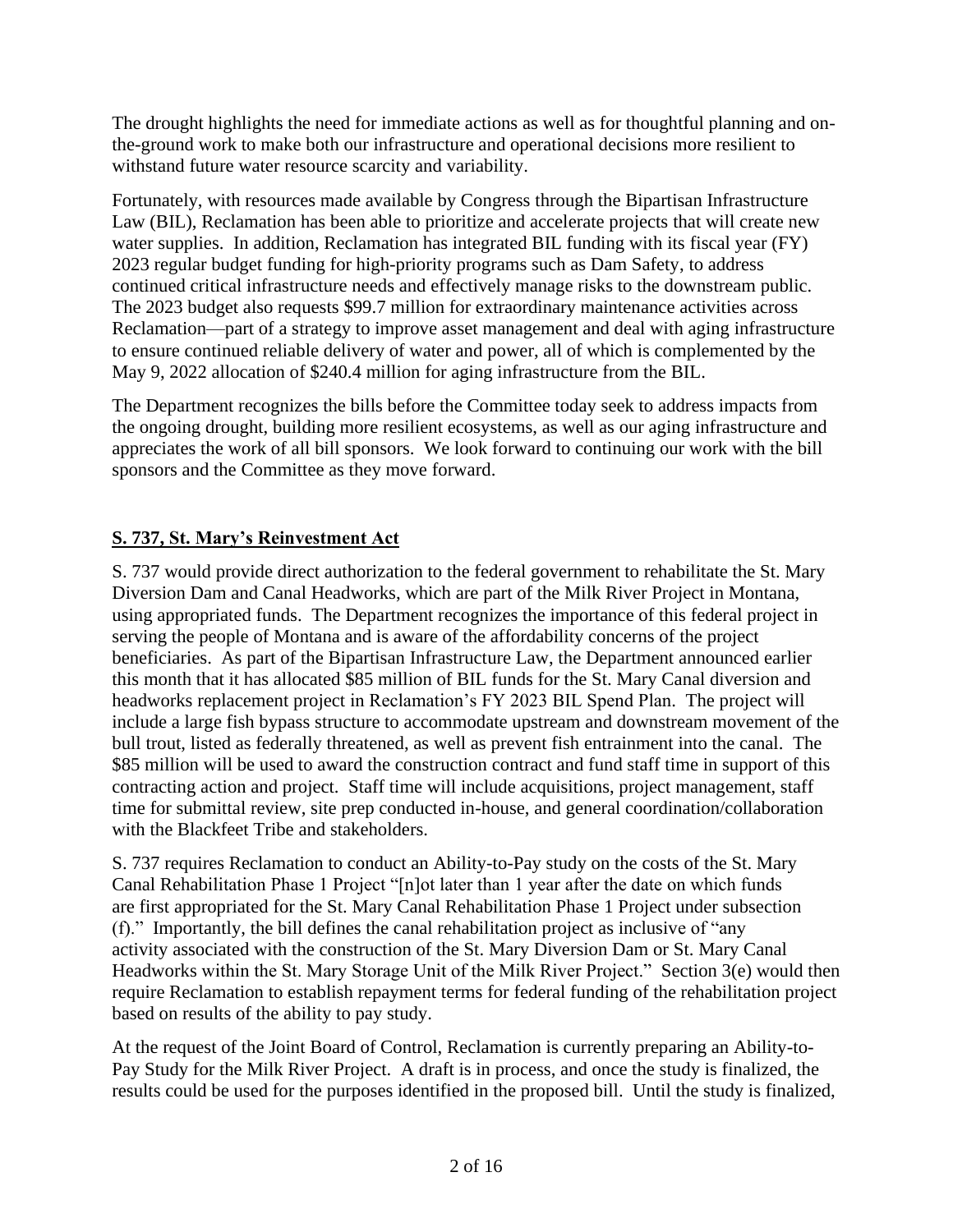The drought highlights the need for immediate actions as well as for thoughtful planning and onthe-ground work to make both our infrastructure and operational decisions more resilient to withstand future water resource scarcity and variability.

Fortunately, with resources made available by Congress through the Bipartisan Infrastructure Law (BIL), Reclamation has been able to prioritize and accelerate projects that will create new water supplies. In addition, Reclamation has integrated BIL funding with its fiscal year (FY) 2023 regular budget funding for high-priority programs such as Dam Safety, to address continued critical infrastructure needs and effectively manage risks to the downstream public. The 2023 budget also requests \$99.7 million for extraordinary maintenance activities across Reclamation—part of a strategy to improve asset management and deal with aging infrastructure to ensure continued reliable delivery of water and power, all of which is complemented by the May 9, 2022 allocation of \$240.4 million for aging infrastructure from the BIL.

The Department recognizes the bills before the Committee today seek to address impacts from the ongoing drought, building more resilient ecosystems, as well as our aging infrastructure and appreciates the work of all bill sponsors. We look forward to continuing our work with the bill sponsors and the Committee as they move forward.

# **S. 737, St. Mary's Reinvestment Act**

S. 737 would provide direct authorization to the federal government to rehabilitate the St. Mary Diversion Dam and Canal Headworks, which are part of the Milk River Project in Montana, using appropriated funds. The Department recognizes the importance of this federal project in serving the people of Montana and is aware of the affordability concerns of the project beneficiaries. As part of the Bipartisan Infrastructure Law, the Department announced earlier this month that it has allocated \$85 million of BIL funds for the St. Mary Canal diversion and headworks replacement project in Reclamation's FY 2023 BIL Spend Plan. The project will include a large fish bypass structure to accommodate upstream and downstream movement of the bull trout, listed as federally threatened, as well as prevent fish entrainment into the canal. The \$85 million will be used to award the construction contract and fund staff time in support of this contracting action and project. Staff time will include acquisitions, project management, staff time for submittal review, site prep conducted in-house, and general coordination/collaboration with the Blackfeet Tribe and stakeholders.

S. 737 requires Reclamation to conduct an Ability-to-Pay study on the costs of the St. Mary Canal Rehabilitation Phase 1 Project "[n]ot later than 1 year after the date on which funds are first appropriated for the St. Mary Canal Rehabilitation Phase 1 Project under subsection (f)." Importantly, the bill defines the canal rehabilitation project as inclusive of "any activity associated with the construction of the St. Mary Diversion Dam or St. Mary Canal Headworks within the St. Mary Storage Unit of the Milk River Project." Section 3(e) would then require Reclamation to establish repayment terms for federal funding of the rehabilitation project based on results of the ability to pay study.

At the request of the Joint Board of Control, Reclamation is currently preparing an Ability-to-Pay Study for the Milk River Project. A draft is in process, and once the study is finalized, the results could be used for the purposes identified in the proposed bill. Until the study is finalized,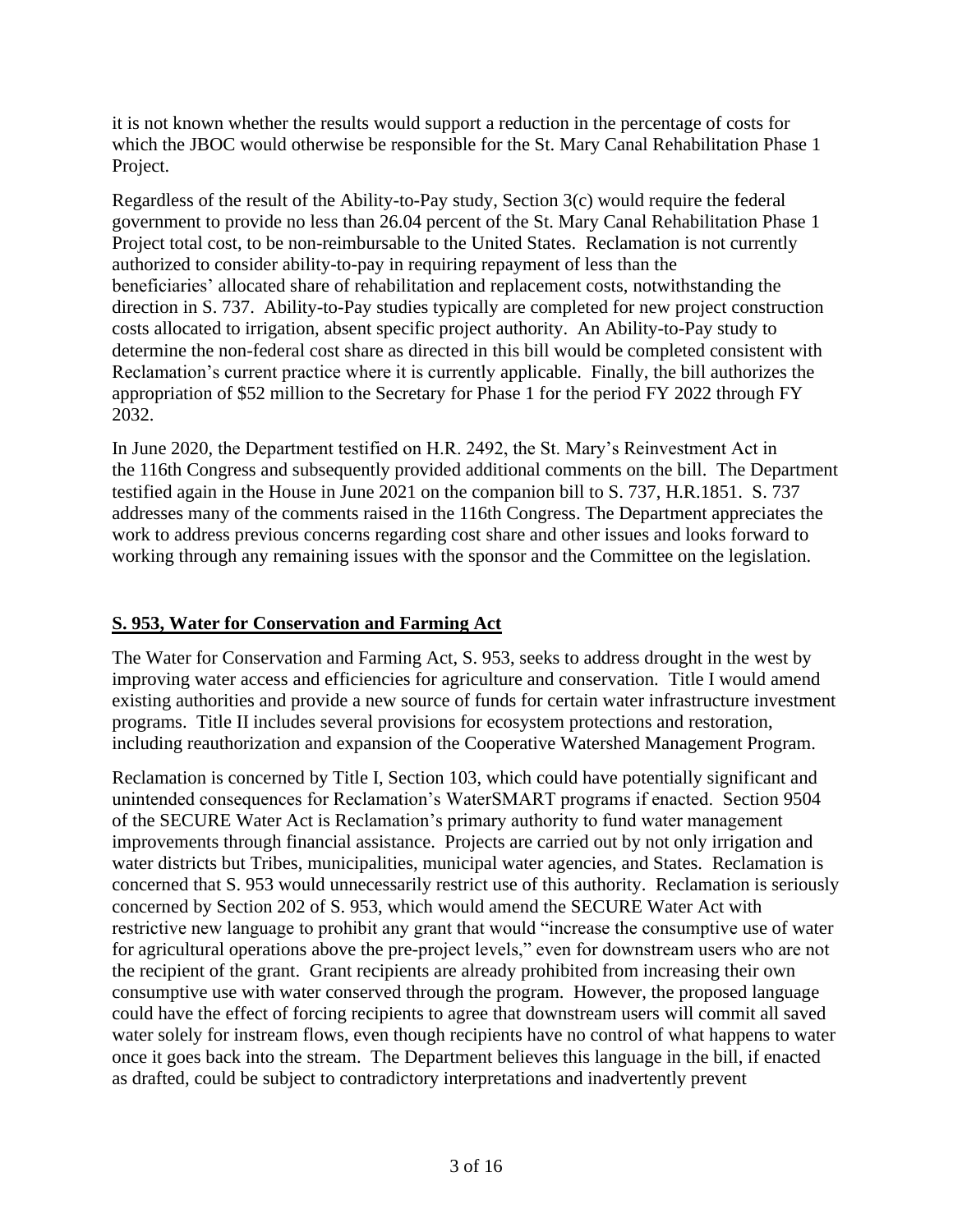it is not known whether the results would support a reduction in the percentage of costs for which the JBOC would otherwise be responsible for the St. Mary Canal Rehabilitation Phase 1 Project.

Regardless of the result of the Ability-to-Pay study, Section 3(c) would require the federal government to provide no less than 26.04 percent of the St. Mary Canal Rehabilitation Phase 1 Project total cost, to be non-reimbursable to the United States. Reclamation is not currently authorized to consider ability-to-pay in requiring repayment of less than the beneficiaries' allocated share of rehabilitation and replacement costs, notwithstanding the direction in S. 737. Ability-to-Pay studies typically are completed for new project construction costs allocated to irrigation, absent specific project authority. An Ability-to-Pay study to determine the non-federal cost share as directed in this bill would be completed consistent with Reclamation's current practice where it is currently applicable. Finally, the bill authorizes the appropriation of \$52 million to the Secretary for Phase 1 for the period FY 2022 through FY 2032.

In June 2020, the Department testified on H.R. 2492, the St. Mary's Reinvestment Act in the 116th Congress and subsequently provided additional comments on the bill. The Department testified again in the House in June 2021 on the companion bill to S. 737, H.R.1851. S. 737 addresses many of the comments raised in the 116th Congress. The Department appreciates the work to address previous concerns regarding cost share and other issues and looks forward to working through any remaining issues with the sponsor and the Committee on the legislation.

## **S. 953, Water for Conservation and Farming Act**

The Water for Conservation and Farming Act, S. 953, seeks to address drought in the west by improving water access and efficiencies for agriculture and conservation. Title I would amend existing authorities and provide a new source of funds for certain water infrastructure investment programs. Title II includes several provisions for ecosystem protections and restoration, including reauthorization and expansion of the Cooperative Watershed Management Program.

Reclamation is concerned by Title I, Section 103, which could have potentially significant and unintended consequences for Reclamation's WaterSMART programs if enacted. Section 9504 of the SECURE Water Act is Reclamation's primary authority to fund water management improvements through financial assistance. Projects are carried out by not only irrigation and water districts but Tribes, municipalities, municipal water agencies, and States. Reclamation is concerned that S. 953 would unnecessarily restrict use of this authority. Reclamation is seriously concerned by Section 202 of S. 953, which would amend the SECURE Water Act with restrictive new language to prohibit any grant that would "increase the consumptive use of water for agricultural operations above the pre-project levels," even for downstream users who are not the recipient of the grant. Grant recipients are already prohibited from increasing their own consumptive use with water conserved through the program. However, the proposed language could have the effect of forcing recipients to agree that downstream users will commit all saved water solely for instream flows, even though recipients have no control of what happens to water once it goes back into the stream. The Department believes this language in the bill, if enacted as drafted, could be subject to contradictory interpretations and inadvertently prevent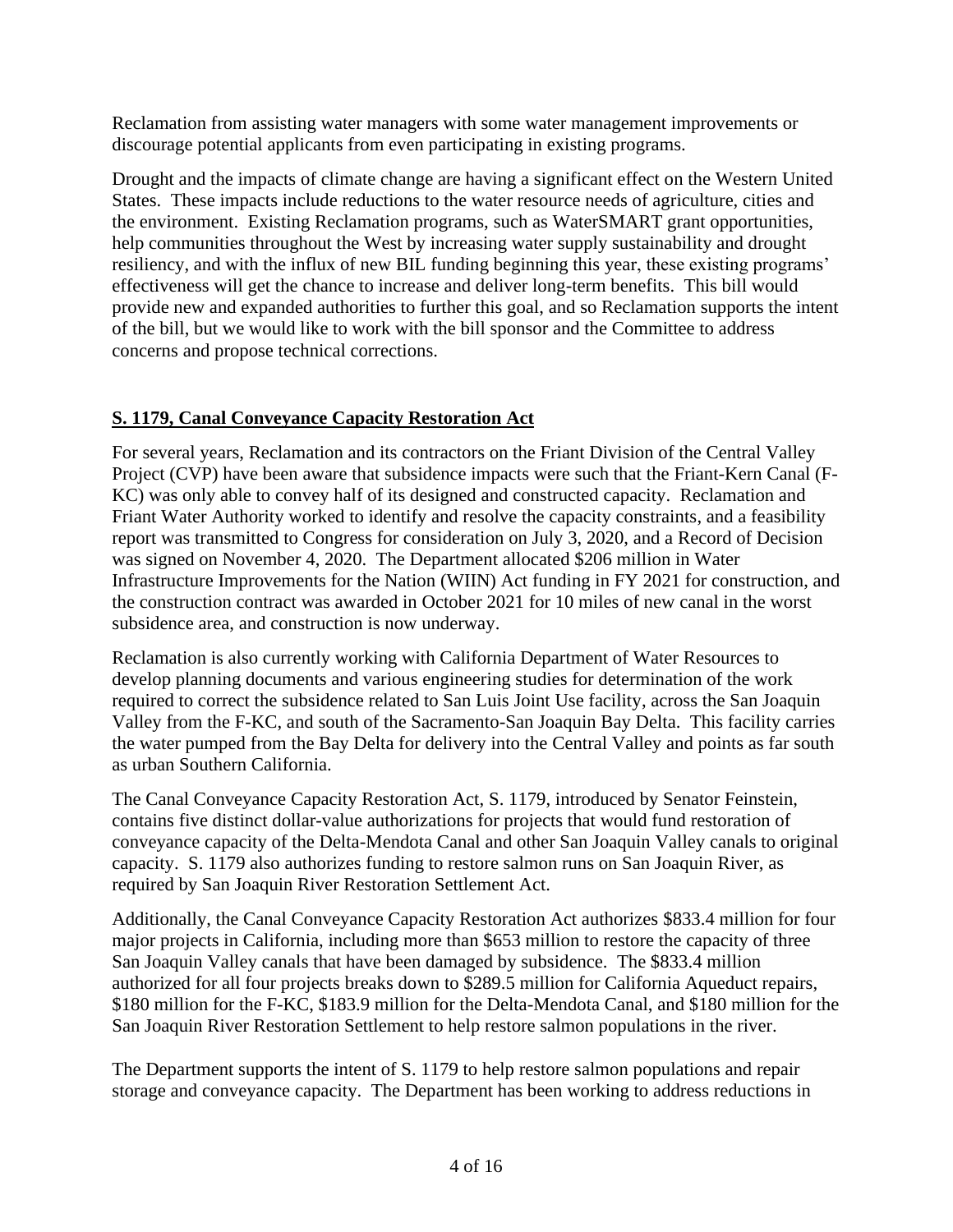Reclamation from assisting water managers with some water management improvements or discourage potential applicants from even participating in existing programs.

Drought and the impacts of climate change are having a significant effect on the Western United States. These impacts include reductions to the water resource needs of agriculture, cities and the environment. Existing Reclamation programs, such as WaterSMART grant opportunities, help communities throughout the West by increasing water supply sustainability and drought resiliency, and with the influx of new BIL funding beginning this year, these existing programs' effectiveness will get the chance to increase and deliver long-term benefits. This bill would provide new and expanded authorities to further this goal, and so Reclamation supports the intent of the bill, but we would like to work with the bill sponsor and the Committee to address concerns and propose technical corrections.

## **S. 1179, Canal Conveyance Capacity Restoration Act**

For several years, Reclamation and its contractors on the Friant Division of the Central Valley Project (CVP) have been aware that subsidence impacts were such that the Friant-Kern Canal (F-KC) was only able to convey half of its designed and constructed capacity. Reclamation and Friant Water Authority worked to identify and resolve the capacity constraints, and a feasibility report was transmitted to Congress for consideration on July 3, 2020, and a Record of Decision was signed on November 4, 2020. The Department allocated \$206 million in Water Infrastructure Improvements for the Nation (WIIN) Act funding in FY 2021 for construction, and the construction contract was awarded in October 2021 for 10 miles of new canal in the worst subsidence area, and construction is now underway.

Reclamation is also currently working with California Department of Water Resources to develop planning documents and various engineering studies for determination of the work required to correct the subsidence related to San Luis Joint Use facility, across the San Joaquin Valley from the F-KC, and south of the Sacramento-San Joaquin Bay Delta. This facility carries the water pumped from the Bay Delta for delivery into the Central Valley and points as far south as urban Southern California.

The Canal Conveyance Capacity Restoration Act, S. 1179, introduced by Senator Feinstein, contains five distinct dollar-value authorizations for projects that would fund restoration of conveyance capacity of the Delta-Mendota Canal and other San Joaquin Valley canals to original capacity. S. 1179 also authorizes funding to restore salmon runs on San Joaquin River, as required by San Joaquin River Restoration Settlement Act.

Additionally, the Canal Conveyance Capacity Restoration Act authorizes \$833.4 million for four major projects in California, including more than \$653 million to restore the capacity of three San Joaquin Valley canals that have been damaged by subsidence. The \$833.4 million authorized for all four projects breaks down to \$289.5 million for California Aqueduct repairs, \$180 million for the F-KC, \$183.9 million for the Delta-Mendota Canal, and \$180 million for the San Joaquin River Restoration Settlement to help restore salmon populations in the river.

The Department supports the intent of S. 1179 to help restore salmon populations and repair storage and conveyance capacity. The Department has been working to address reductions in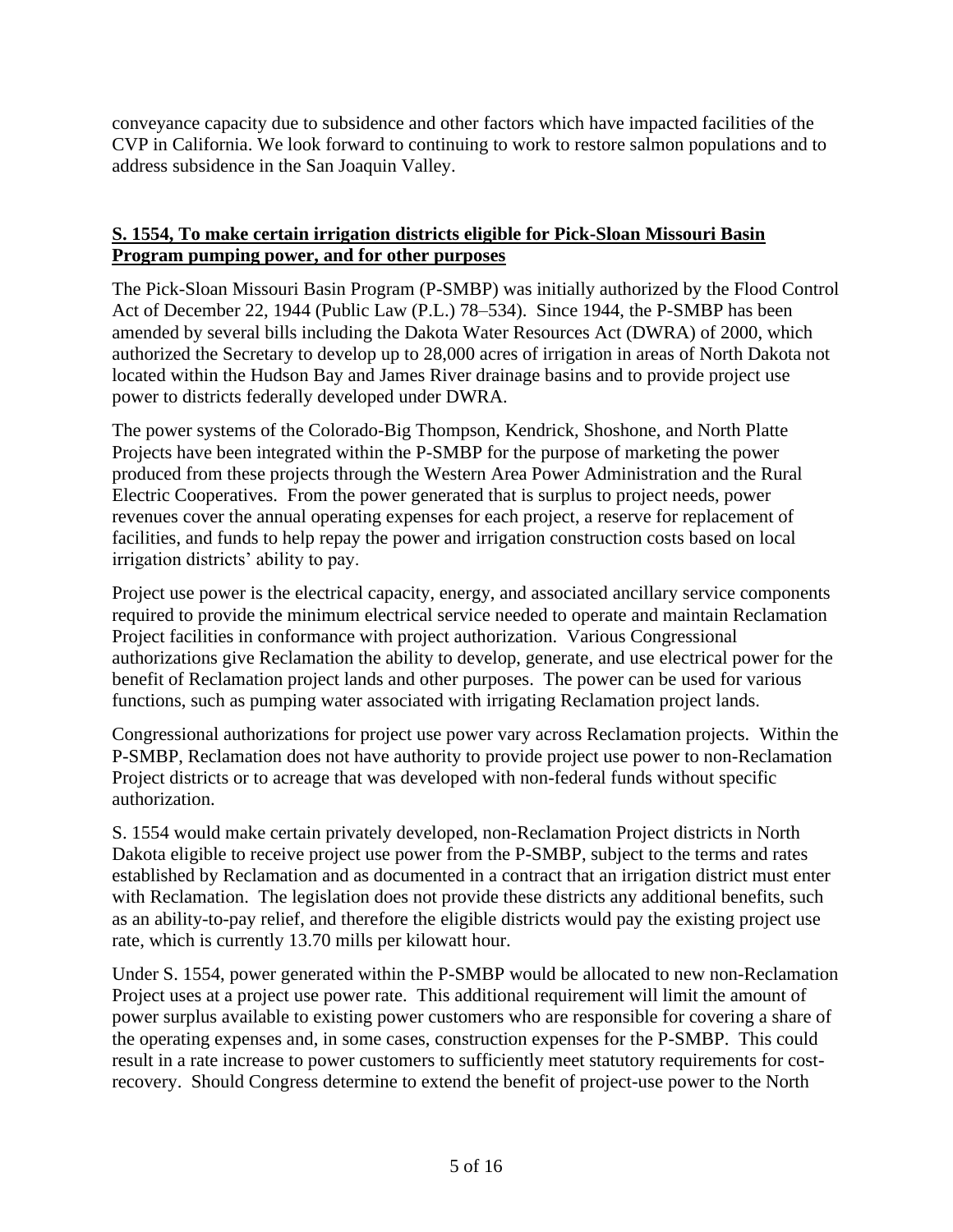conveyance capacity due to subsidence and other factors which have impacted facilities of the CVP in California. We look forward to continuing to work to restore salmon populations and to address subsidence in the San Joaquin Valley.

#### **S. 1554, To make certain irrigation districts eligible for Pick-Sloan Missouri Basin Program pumping power, and for other purposes**

The Pick-Sloan Missouri Basin Program (P-SMBP) was initially authorized by the Flood Control Act of December 22, 1944 (Public Law (P.L.) 78–534). Since 1944, the P-SMBP has been amended by several bills including the Dakota Water Resources Act (DWRA) of 2000, which authorized the Secretary to develop up to 28,000 acres of irrigation in areas of North Dakota not located within the Hudson Bay and James River drainage basins and to provide project use power to districts federally developed under DWRA.

The power systems of the Colorado-Big Thompson, Kendrick, Shoshone, and North Platte Projects have been integrated within the P-SMBP for the purpose of marketing the power produced from these projects through the Western Area Power Administration and the Rural Electric Cooperatives. From the power generated that is surplus to project needs, power revenues cover the annual operating expenses for each project, a reserve for replacement of facilities, and funds to help repay the power and irrigation construction costs based on local irrigation districts' ability to pay.

Project use power is the electrical capacity, energy, and associated ancillary service components required to provide the minimum electrical service needed to operate and maintain Reclamation Project facilities in conformance with project authorization. Various Congressional authorizations give Reclamation the ability to develop, generate, and use electrical power for the benefit of Reclamation project lands and other purposes. The power can be used for various functions, such as pumping water associated with irrigating Reclamation project lands.

Congressional authorizations for project use power vary across Reclamation projects. Within the P-SMBP, Reclamation does not have authority to provide project use power to non-Reclamation Project districts or to acreage that was developed with non-federal funds without specific authorization.

S. 1554 would make certain privately developed, non-Reclamation Project districts in North Dakota eligible to receive project use power from the P-SMBP, subject to the terms and rates established by Reclamation and as documented in a contract that an irrigation district must enter with Reclamation. The legislation does not provide these districts any additional benefits, such as an ability-to-pay relief, and therefore the eligible districts would pay the existing project use rate, which is currently 13.70 mills per kilowatt hour.

Under S. 1554, power generated within the P-SMBP would be allocated to new non-Reclamation Project uses at a project use power rate. This additional requirement will limit the amount of power surplus available to existing power customers who are responsible for covering a share of the operating expenses and, in some cases, construction expenses for the P-SMBP. This could result in a rate increase to power customers to sufficiently meet statutory requirements for costrecovery. Should Congress determine to extend the benefit of project-use power to the North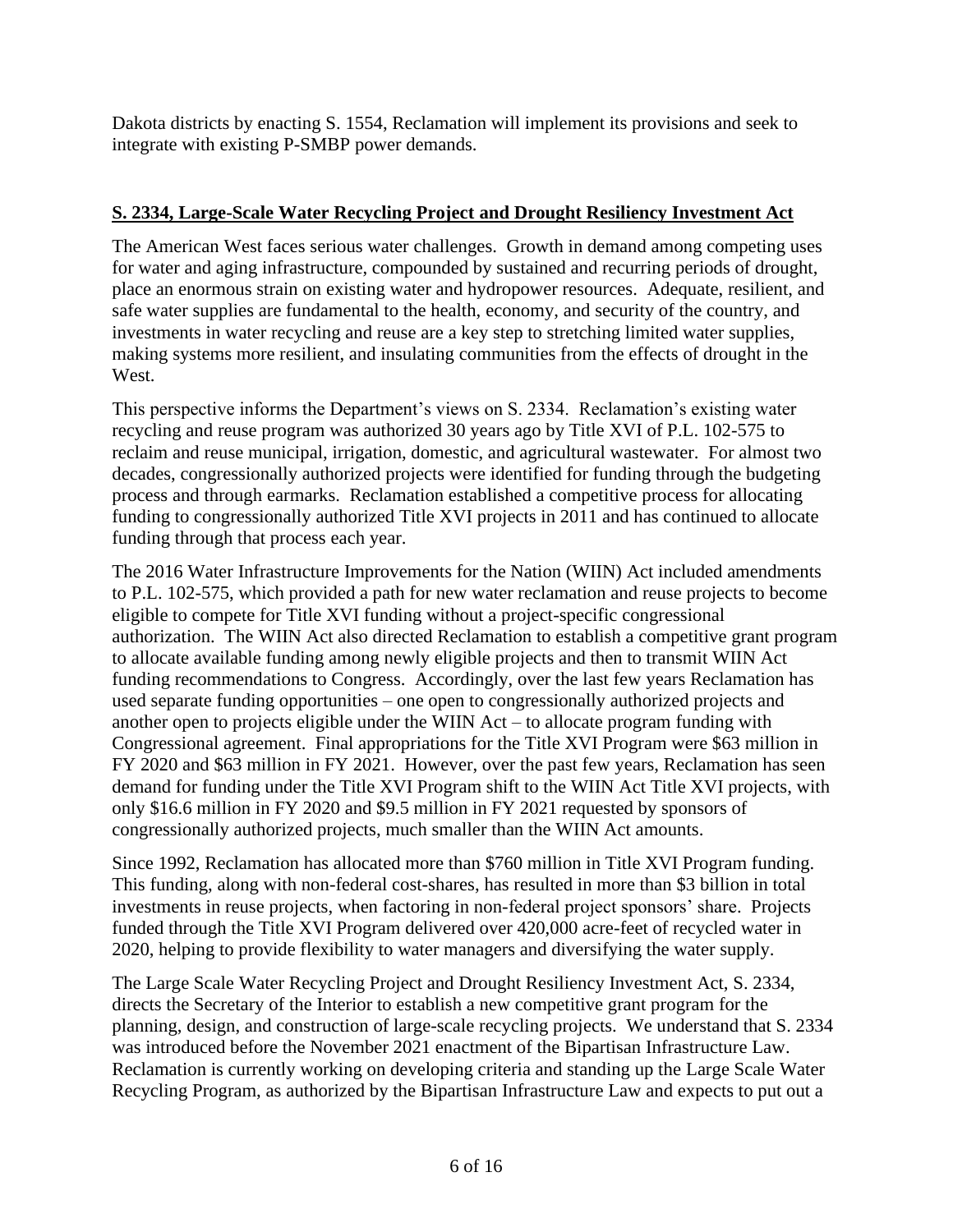Dakota districts by enacting S. 1554, Reclamation will implement its provisions and seek to integrate with existing P-SMBP power demands.

### **S. 2334, Large-Scale Water Recycling Project and Drought Resiliency Investment Act**

The American West faces serious water challenges. Growth in demand among competing uses for water and aging infrastructure, compounded by sustained and recurring periods of drought, place an enormous strain on existing water and hydropower resources. Adequate, resilient, and safe water supplies are fundamental to the health, economy, and security of the country, and investments in water recycling and reuse are a key step to stretching limited water supplies, making systems more resilient, and insulating communities from the effects of drought in the West.

This perspective informs the Department's views on S. 2334. Reclamation's existing water recycling and reuse program was authorized 30 years ago by Title XVI of P.L. 102-575 to reclaim and reuse municipal, irrigation, domestic, and agricultural wastewater. For almost two decades, congressionally authorized projects were identified for funding through the budgeting process and through earmarks. Reclamation established a competitive process for allocating funding to congressionally authorized Title XVI projects in 2011 and has continued to allocate funding through that process each year.

The 2016 Water Infrastructure Improvements for the Nation (WIIN) Act included amendments to P.L. 102-575, which provided a path for new water reclamation and reuse projects to become eligible to compete for Title XVI funding without a project-specific congressional authorization. The WIIN Act also directed Reclamation to establish a competitive grant program to allocate available funding among newly eligible projects and then to transmit WIIN Act funding recommendations to Congress. Accordingly, over the last few years Reclamation has used separate funding opportunities – one open to congressionally authorized projects and another open to projects eligible under the WIIN Act – to allocate program funding with Congressional agreement. Final appropriations for the Title XVI Program were \$63 million in FY 2020 and \$63 million in FY 2021. However, over the past few years, Reclamation has seen demand for funding under the Title XVI Program shift to the WIIN Act Title XVI projects, with only \$16.6 million in FY 2020 and \$9.5 million in FY 2021 requested by sponsors of congressionally authorized projects, much smaller than the WIIN Act amounts.

Since 1992, Reclamation has allocated more than \$760 million in Title XVI Program funding. This funding, along with non-federal cost-shares, has resulted in more than \$3 billion in total investments in reuse projects, when factoring in non-federal project sponsors' share. Projects funded through the Title XVI Program delivered over 420,000 acre-feet of recycled water in 2020, helping to provide flexibility to water managers and diversifying the water supply.

The Large Scale Water Recycling Project and Drought Resiliency Investment Act, S. 2334, directs the Secretary of the Interior to establish a new competitive grant program for the planning, design, and construction of large-scale recycling projects. We understand that S. 2334 was introduced before the November 2021 enactment of the Bipartisan Infrastructure Law. Reclamation is currently working on developing criteria and standing up the Large Scale Water Recycling Program, as authorized by the Bipartisan Infrastructure Law and expects to put out a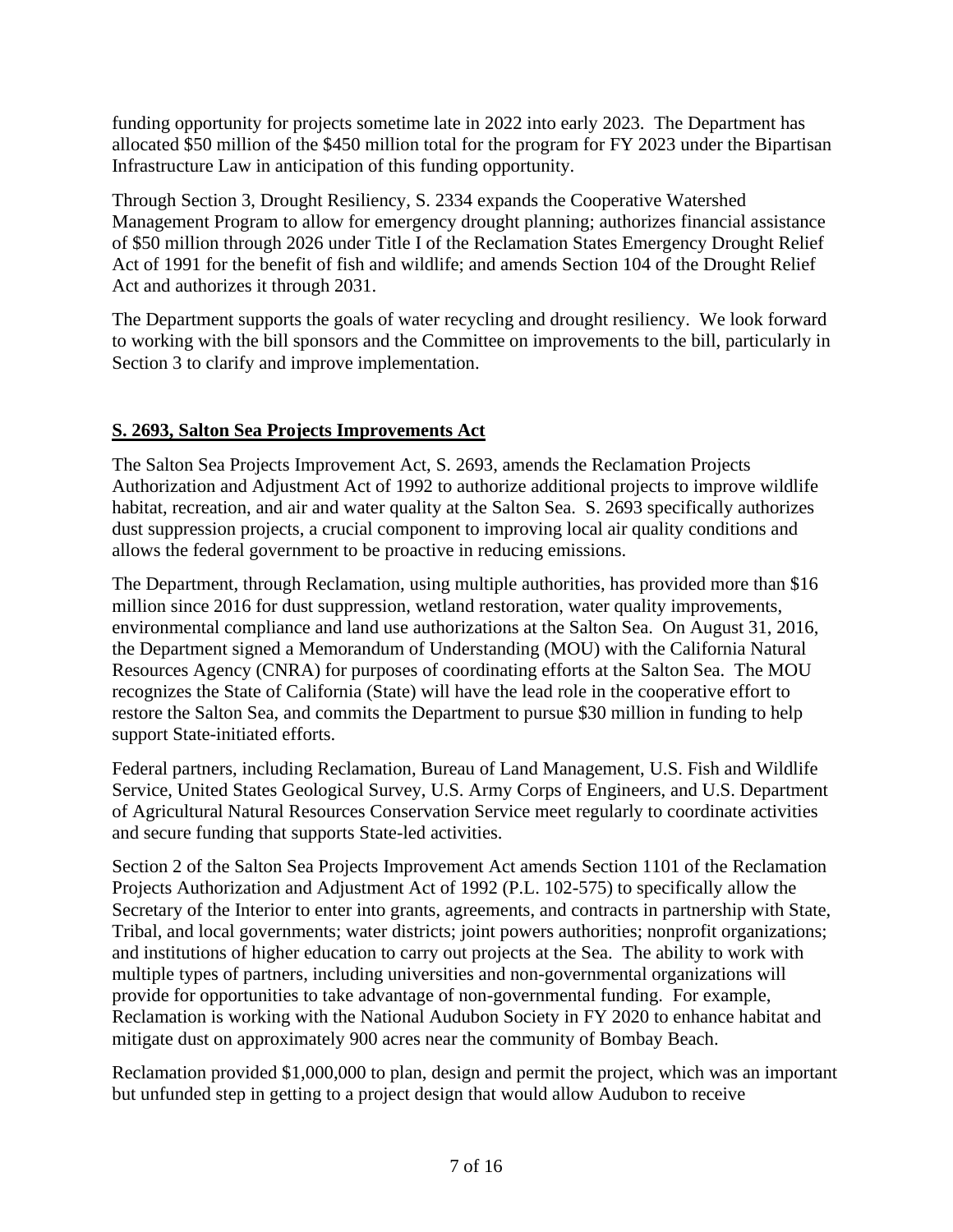funding opportunity for projects sometime late in 2022 into early 2023. The Department has allocated \$50 million of the \$450 million total for the program for FY 2023 under the Bipartisan Infrastructure Law in anticipation of this funding opportunity.

Through Section 3, Drought Resiliency, S. 2334 expands the Cooperative Watershed Management Program to allow for emergency drought planning; authorizes financial assistance of \$50 million through 2026 under Title I of the Reclamation States Emergency Drought Relief Act of 1991 for the benefit of fish and wildlife; and amends Section 104 of the Drought Relief Act and authorizes it through 2031.

The Department supports the goals of water recycling and drought resiliency. We look forward to working with the bill sponsors and the Committee on improvements to the bill, particularly in Section 3 to clarify and improve implementation.

### **S. 2693, Salton Sea Projects Improvements Act**

The Salton Sea Projects Improvement Act, S. 2693, amends the Reclamation Projects Authorization and Adjustment Act of 1992 to authorize additional projects to improve wildlife habitat, recreation, and air and water quality at the Salton Sea. S. 2693 specifically authorizes dust suppression projects, a crucial component to improving local air quality conditions and allows the federal government to be proactive in reducing emissions.

The Department, through Reclamation, using multiple authorities, has provided more than \$16 million since 2016 for dust suppression, wetland restoration, water quality improvements, environmental compliance and land use authorizations at the Salton Sea. On August 31, 2016, the Department signed a Memorandum of Understanding (MOU) with the California Natural Resources Agency (CNRA) for purposes of coordinating efforts at the Salton Sea. The MOU recognizes the State of California (State) will have the lead role in the cooperative effort to restore the Salton Sea, and commits the Department to pursue \$30 million in funding to help support State-initiated efforts.

Federal partners, including Reclamation, Bureau of Land Management, U.S. Fish and Wildlife Service, United States Geological Survey, U.S. Army Corps of Engineers, and U.S. Department of Agricultural Natural Resources Conservation Service meet regularly to coordinate activities and secure funding that supports State-led activities.

Section 2 of the Salton Sea Projects Improvement Act amends Section 1101 of the Reclamation Projects Authorization and Adjustment Act of 1992 (P.L. 102-575) to specifically allow the Secretary of the Interior to enter into grants, agreements, and contracts in partnership with State, Tribal, and local governments; water districts; joint powers authorities; nonprofit organizations; and institutions of higher education to carry out projects at the Sea. The ability to work with multiple types of partners, including universities and non-governmental organizations will provide for opportunities to take advantage of non-governmental funding. For example, Reclamation is working with the National Audubon Society in FY 2020 to enhance habitat and mitigate dust on approximately 900 acres near the community of Bombay Beach.

Reclamation provided \$1,000,000 to plan, design and permit the project, which was an important but unfunded step in getting to a project design that would allow Audubon to receive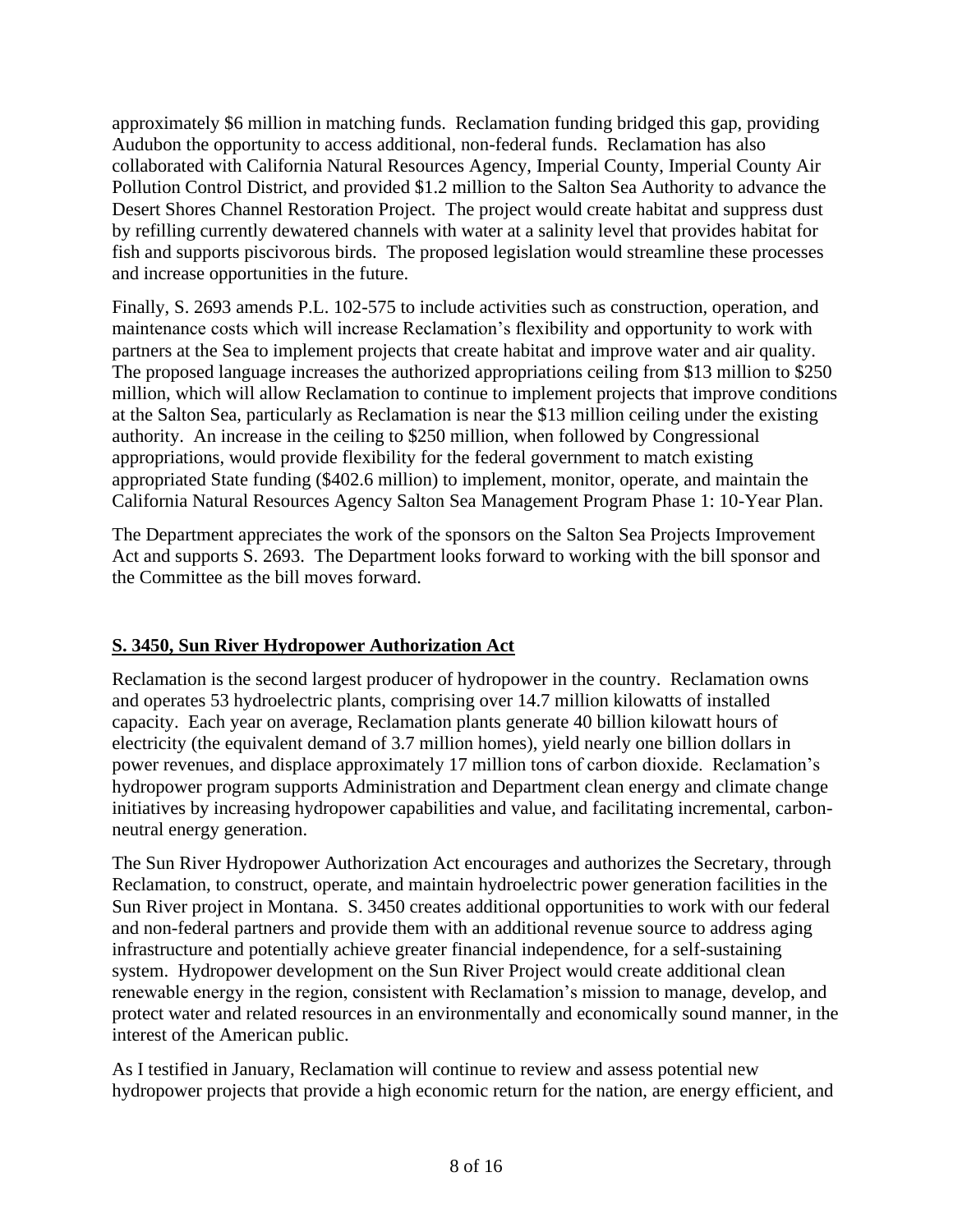approximately \$6 million in matching funds. Reclamation funding bridged this gap, providing Audubon the opportunity to access additional, non-federal funds. Reclamation has also collaborated with California Natural Resources Agency, Imperial County, Imperial County Air Pollution Control District, and provided \$1.2 million to the Salton Sea Authority to advance the Desert Shores Channel Restoration Project. The project would create habitat and suppress dust by refilling currently dewatered channels with water at a salinity level that provides habitat for fish and supports piscivorous birds. The proposed legislation would streamline these processes and increase opportunities in the future.

Finally, S. 2693 amends P.L. 102-575 to include activities such as construction, operation, and maintenance costs which will increase Reclamation's flexibility and opportunity to work with partners at the Sea to implement projects that create habitat and improve water and air quality. The proposed language increases the authorized appropriations ceiling from \$13 million to \$250 million, which will allow Reclamation to continue to implement projects that improve conditions at the Salton Sea, particularly as Reclamation is near the \$13 million ceiling under the existing authority. An increase in the ceiling to \$250 million, when followed by Congressional appropriations, would provide flexibility for the federal government to match existing appropriated State funding (\$402.6 million) to implement, monitor, operate, and maintain the California Natural Resources Agency Salton Sea Management Program Phase 1: 10-Year Plan.

The Department appreciates the work of the sponsors on the Salton Sea Projects Improvement Act and supports S. 2693. The Department looks forward to working with the bill sponsor and the Committee as the bill moves forward.

## **S. 3450, Sun River Hydropower Authorization Act**

Reclamation is the second largest producer of hydropower in the country. Reclamation owns and operates 53 hydroelectric plants, comprising over 14.7 million kilowatts of installed capacity. Each year on average, Reclamation plants generate 40 billion kilowatt hours of electricity (the equivalent demand of 3.7 million homes), yield nearly one billion dollars in power revenues, and displace approximately 17 million tons of carbon dioxide. Reclamation's hydropower program supports Administration and Department clean energy and climate change initiatives by increasing hydropower capabilities and value, and facilitating incremental, carbonneutral energy generation.

The Sun River Hydropower Authorization Act encourages and authorizes the Secretary, through Reclamation, to construct, operate, and maintain hydroelectric power generation facilities in the Sun River project in Montana. S. 3450 creates additional opportunities to work with our federal and non-federal partners and provide them with an additional revenue source to address aging infrastructure and potentially achieve greater financial independence, for a self-sustaining system. Hydropower development on the Sun River Project would create additional clean renewable energy in the region, consistent with Reclamation's mission to manage, develop, and protect water and related resources in an environmentally and economically sound manner, in the interest of the American public.

As I testified in January, Reclamation will continue to review and assess potential new hydropower projects that provide a high economic return for the nation, are energy efficient, and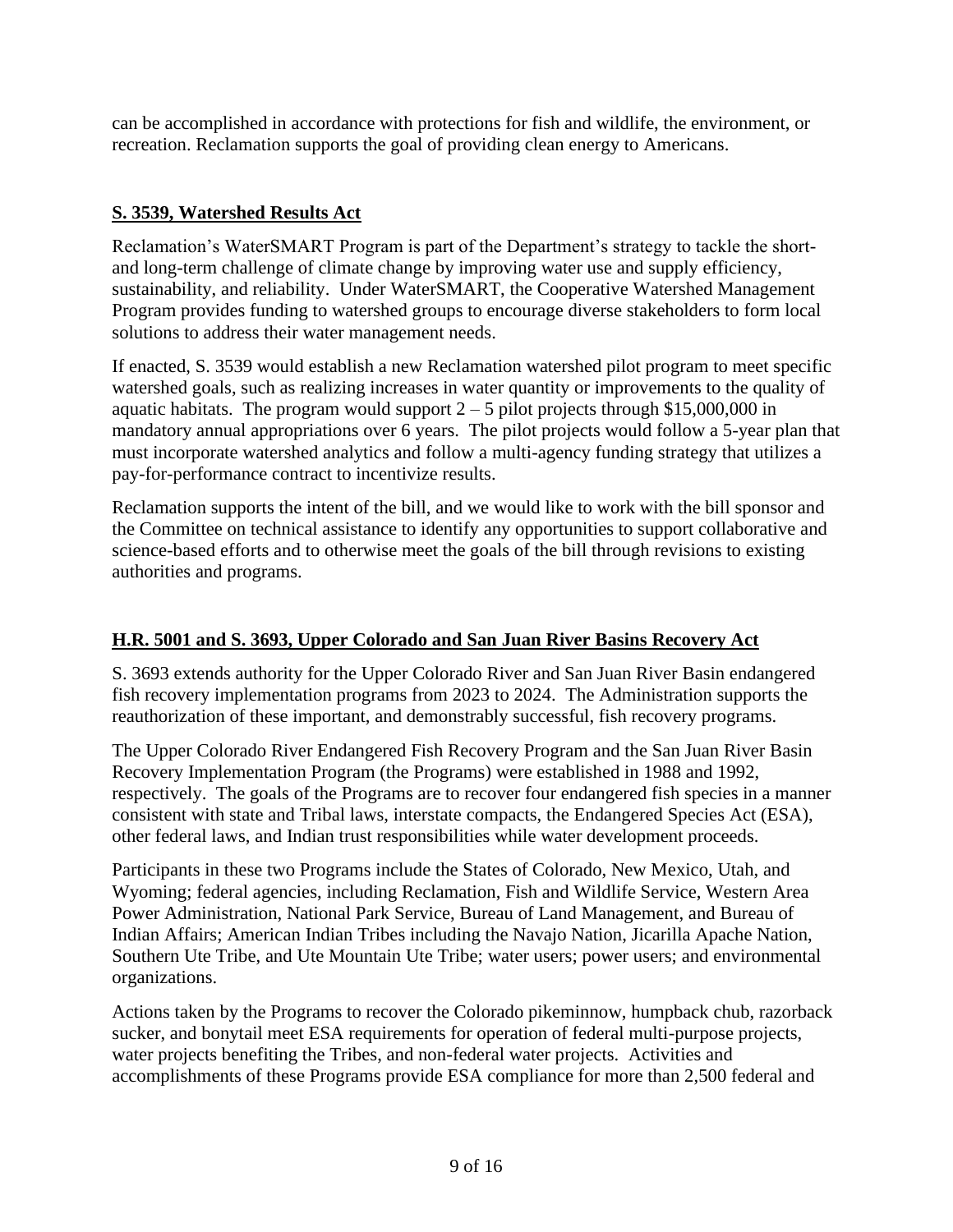can be accomplished in accordance with protections for fish and wildlife, the environment, or recreation. Reclamation supports the goal of providing clean energy to Americans.

## **S. 3539, Watershed Results Act**

Reclamation's WaterSMART Program is part of the Department's strategy to tackle the shortand long-term challenge of climate change by improving water use and supply efficiency, sustainability, and reliability. Under WaterSMART, the Cooperative Watershed Management Program provides funding to watershed groups to encourage diverse stakeholders to form local solutions to address their water management needs.

If enacted, S. 3539 would establish a new Reclamation watershed pilot program to meet specific watershed goals, such as realizing increases in water quantity or improvements to the quality of aquatic habitats. The program would support  $2 - 5$  pilot projects through \$15,000,000 in mandatory annual appropriations over 6 years. The pilot projects would follow a 5-year plan that must incorporate watershed analytics and follow a multi-agency funding strategy that utilizes a pay-for-performance contract to incentivize results.

Reclamation supports the intent of the bill, and we would like to work with the bill sponsor and the Committee on technical assistance to identify any opportunities to support collaborative and science-based efforts and to otherwise meet the goals of the bill through revisions to existing authorities and programs.

## **H.R. 5001 and S. 3693, Upper Colorado and San Juan River Basins Recovery Act**

S. 3693 extends authority for the Upper Colorado River and San Juan River Basin endangered fish recovery implementation programs from 2023 to 2024. The Administration supports the reauthorization of these important, and demonstrably successful, fish recovery programs.

The Upper Colorado River Endangered Fish Recovery Program and the San Juan River Basin Recovery Implementation Program (the Programs) were established in 1988 and 1992, respectively. The goals of the Programs are to recover four endangered fish species in a manner consistent with state and Tribal laws, interstate compacts, the Endangered Species Act (ESA), other federal laws, and Indian trust responsibilities while water development proceeds.

Participants in these two Programs include the States of Colorado, New Mexico, Utah, and Wyoming; federal agencies, including Reclamation, Fish and Wildlife Service, Western Area Power Administration, National Park Service, Bureau of Land Management, and Bureau of Indian Affairs; American Indian Tribes including the Navajo Nation, Jicarilla Apache Nation, Southern Ute Tribe, and Ute Mountain Ute Tribe; water users; power users; and environmental organizations.

Actions taken by the Programs to recover the Colorado pikeminnow, humpback chub, razorback sucker, and bonytail meet ESA requirements for operation of federal multi-purpose projects, water projects benefiting the Tribes, and non-federal water projects. Activities and accomplishments of these Programs provide ESA compliance for more than 2,500 federal and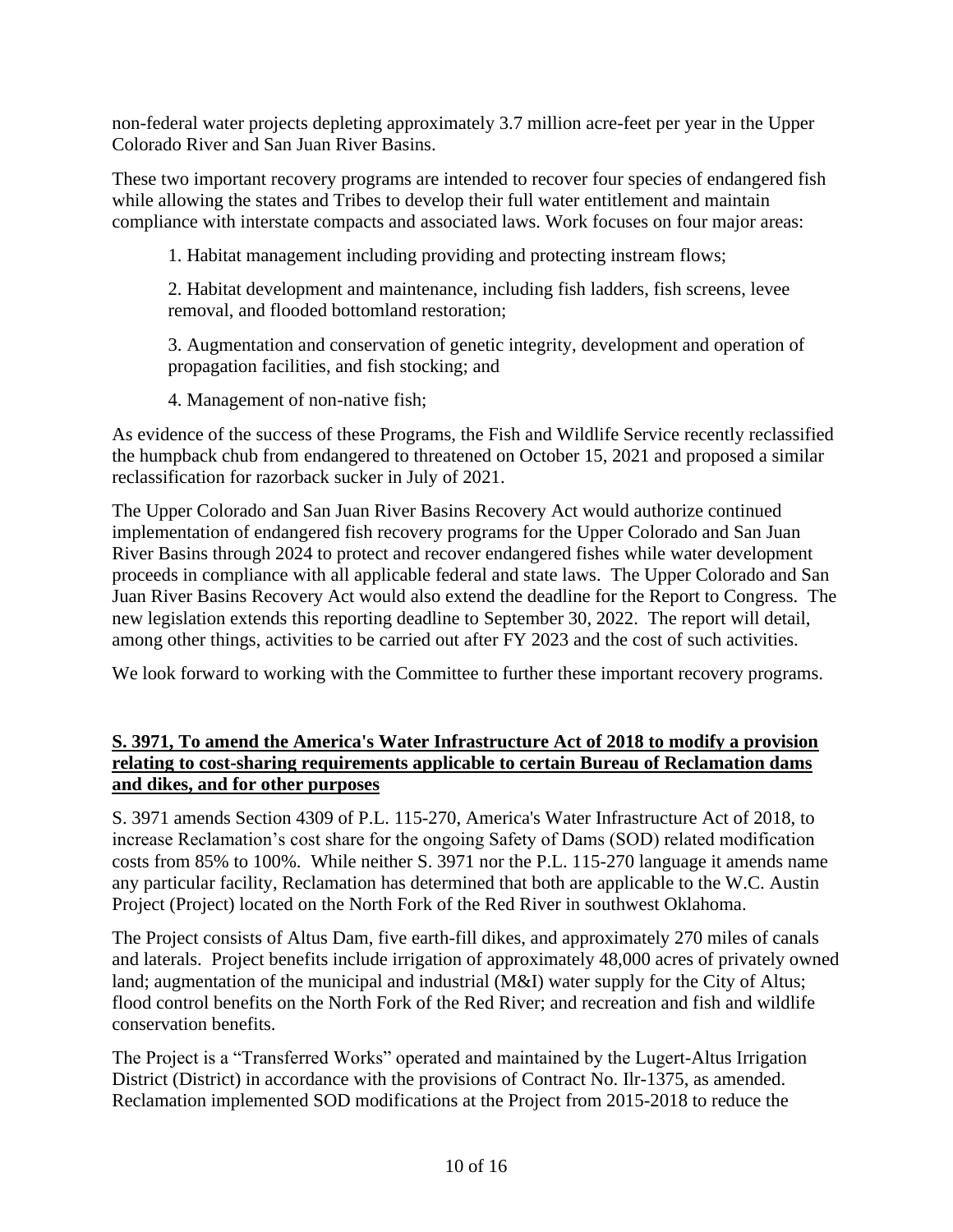non-federal water projects depleting approximately 3.7 million acre-feet per year in the Upper Colorado River and San Juan River Basins.

These two important recovery programs are intended to recover four species of endangered fish while allowing the states and Tribes to develop their full water entitlement and maintain compliance with interstate compacts and associated laws. Work focuses on four major areas:

1. Habitat management including providing and protecting instream flows;

2. Habitat development and maintenance, including fish ladders, fish screens, levee removal, and flooded bottomland restoration;

3. Augmentation and conservation of genetic integrity, development and operation of propagation facilities, and fish stocking; and

4. Management of non-native fish;

As evidence of the success of these Programs, the Fish and Wildlife Service recently reclassified the humpback chub from endangered to threatened on October 15, 2021 and proposed a similar reclassification for razorback sucker in July of 2021.

The Upper Colorado and San Juan River Basins Recovery Act would authorize continued implementation of endangered fish recovery programs for the Upper Colorado and San Juan River Basins through 2024 to protect and recover endangered fishes while water development proceeds in compliance with all applicable federal and state laws. The Upper Colorado and San Juan River Basins Recovery Act would also extend the deadline for the Report to Congress. The new legislation extends this reporting deadline to September 30, 2022. The report will detail, among other things, activities to be carried out after FY 2023 and the cost of such activities.

We look forward to working with the Committee to further these important recovery programs.

### **S. 3971, To amend the America's Water Infrastructure Act of 2018 to modify a provision relating to cost-sharing requirements applicable to certain Bureau of Reclamation dams and dikes, and for other purposes**

S. 3971 amends Section 4309 of P.L. 115-270, America's Water Infrastructure Act of 2018, to increase Reclamation's cost share for the ongoing Safety of Dams (SOD) related modification costs from 85% to 100%. While neither S. 3971 nor the P.L. 115-270 language it amends name any particular facility, Reclamation has determined that both are applicable to the W.C. Austin Project (Project) located on the North Fork of the Red River in southwest Oklahoma.

The Project consists of Altus Dam, five earth-fill dikes, and approximately 270 miles of canals and laterals. Project benefits include irrigation of approximately 48,000 acres of privately owned land; augmentation of the municipal and industrial (M&I) water supply for the City of Altus; flood control benefits on the North Fork of the Red River; and recreation and fish and wildlife conservation benefits.

The Project is a "Transferred Works" operated and maintained by the Lugert-Altus Irrigation District (District) in accordance with the provisions of Contract No. Ilr-1375, as amended. Reclamation implemented SOD modifications at the Project from 2015-2018 to reduce the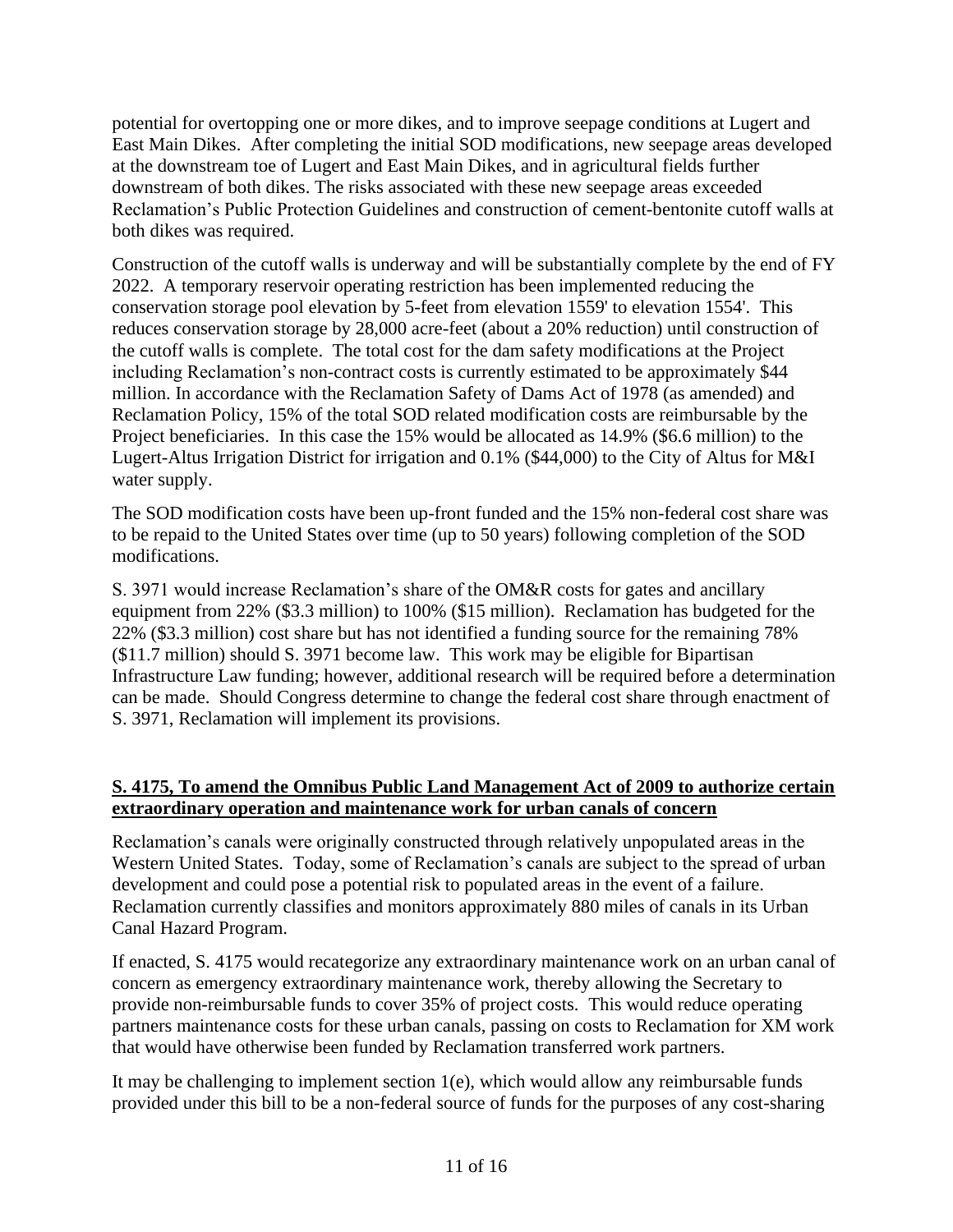potential for overtopping one or more dikes, and to improve seepage conditions at Lugert and East Main Dikes. After completing the initial SOD modifications, new seepage areas developed at the downstream toe of Lugert and East Main Dikes, and in agricultural fields further downstream of both dikes. The risks associated with these new seepage areas exceeded Reclamation's Public Protection Guidelines and construction of cement-bentonite cutoff walls at both dikes was required.

Construction of the cutoff walls is underway and will be substantially complete by the end of FY 2022. A temporary reservoir operating restriction has been implemented reducing the conservation storage pool elevation by 5-feet from elevation 1559' to elevation 1554'. This reduces conservation storage by 28,000 acre-feet (about a 20% reduction) until construction of the cutoff walls is complete. The total cost for the dam safety modifications at the Project including Reclamation's non-contract costs is currently estimated to be approximately \$44 million. In accordance with the Reclamation Safety of Dams Act of 1978 (as amended) and Reclamation Policy, 15% of the total SOD related modification costs are reimbursable by the Project beneficiaries. In this case the 15% would be allocated as 14.9% (\$6.6 million) to the Lugert-Altus Irrigation District for irrigation and 0.1% (\$44,000) to the City of Altus for M&I water supply.

The SOD modification costs have been up-front funded and the 15% non-federal cost share was to be repaid to the United States over time (up to 50 years) following completion of the SOD modifications.

S. 3971 would increase Reclamation's share of the OM&R costs for gates and ancillary equipment from 22% (\$3.3 million) to 100% (\$15 million). Reclamation has budgeted for the 22% (\$3.3 million) cost share but has not identified a funding source for the remaining 78% (\$11.7 million) should S. 3971 become law. This work may be eligible for Bipartisan Infrastructure Law funding; however, additional research will be required before a determination can be made. Should Congress determine to change the federal cost share through enactment of S. 3971, Reclamation will implement its provisions.

### **S. 4175, To amend the Omnibus Public Land Management Act of 2009 to authorize certain extraordinary operation and maintenance work for urban canals of concern**

Reclamation's canals were originally constructed through relatively unpopulated areas in the Western United States. Today, some of Reclamation's canals are subject to the spread of urban development and could pose a potential risk to populated areas in the event of a failure. Reclamation currently classifies and monitors approximately 880 miles of canals in its Urban Canal Hazard Program.

If enacted, S. 4175 would recategorize any extraordinary maintenance work on an urban canal of concern as emergency extraordinary maintenance work, thereby allowing the Secretary to provide non-reimbursable funds to cover 35% of project costs. This would reduce operating partners maintenance costs for these urban canals, passing on costs to Reclamation for XM work that would have otherwise been funded by Reclamation transferred work partners.

It may be challenging to implement section 1(e), which would allow any reimbursable funds provided under this bill to be a non-federal source of funds for the purposes of any cost-sharing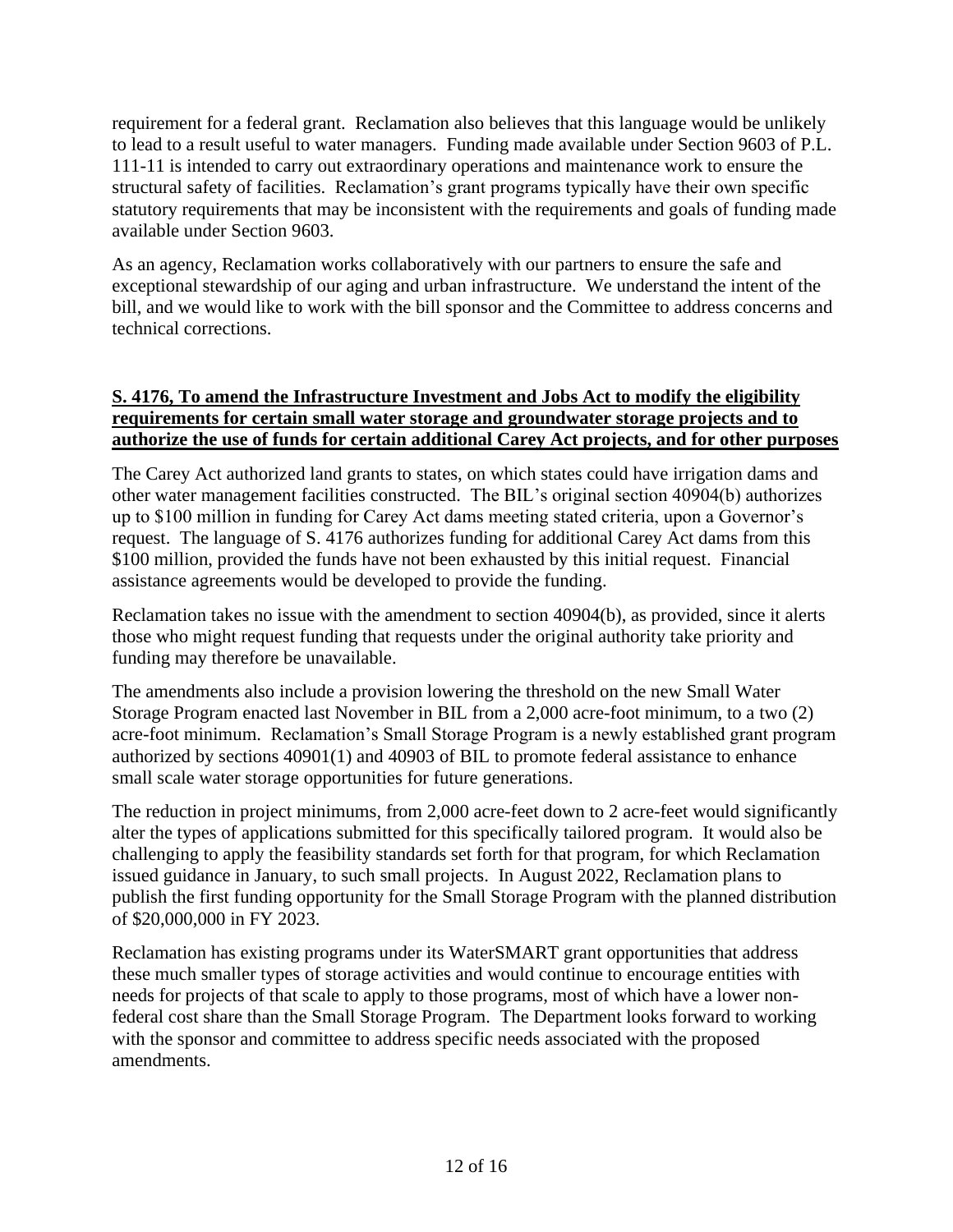requirement for a federal grant. Reclamation also believes that this language would be unlikely to lead to a result useful to water managers. Funding made available under Section 9603 of P.L. 111-11 is intended to carry out extraordinary operations and maintenance work to ensure the structural safety of facilities. Reclamation's grant programs typically have their own specific statutory requirements that may be inconsistent with the requirements and goals of funding made available under Section 9603.

As an agency, Reclamation works collaboratively with our partners to ensure the safe and exceptional stewardship of our aging and urban infrastructure. We understand the intent of the bill, and we would like to work with the bill sponsor and the Committee to address concerns and technical corrections.

#### **S. 4176, To amend the Infrastructure Investment and Jobs Act to modify the eligibility requirements for certain small water storage and groundwater storage projects and to authorize the use of funds for certain additional Carey Act projects, and for other purposes**

The Carey Act authorized land grants to states, on which states could have irrigation dams and other water management facilities constructed. The BIL's original section 40904(b) authorizes up to \$100 million in funding for Carey Act dams meeting stated criteria, upon a Governor's request. The language of S. 4176 authorizes funding for additional Carey Act dams from this \$100 million, provided the funds have not been exhausted by this initial request. Financial assistance agreements would be developed to provide the funding.

Reclamation takes no issue with the amendment to section 40904(b), as provided, since it alerts those who might request funding that requests under the original authority take priority and funding may therefore be unavailable.

The amendments also include a provision lowering the threshold on the new Small Water Storage Program enacted last November in BIL from a 2,000 acre-foot minimum, to a two (2) acre-foot minimum. Reclamation's Small Storage Program is a newly established grant program authorized by sections 40901(1) and 40903 of BIL to promote federal assistance to enhance small scale water storage opportunities for future generations.

The reduction in project minimums, from 2,000 acre-feet down to 2 acre-feet would significantly alter the types of applications submitted for this specifically tailored program. It would also be challenging to apply the feasibility standards set forth for that program, for which Reclamation issued guidance in January, to such small projects. In August 2022, Reclamation plans to publish the first funding opportunity for the Small Storage Program with the planned distribution of \$20,000,000 in FY 2023.

Reclamation has existing programs under its WaterSMART grant opportunities that address these much smaller types of storage activities and would continue to encourage entities with needs for projects of that scale to apply to those programs, most of which have a lower nonfederal cost share than the Small Storage Program. The Department looks forward to working with the sponsor and committee to address specific needs associated with the proposed amendments.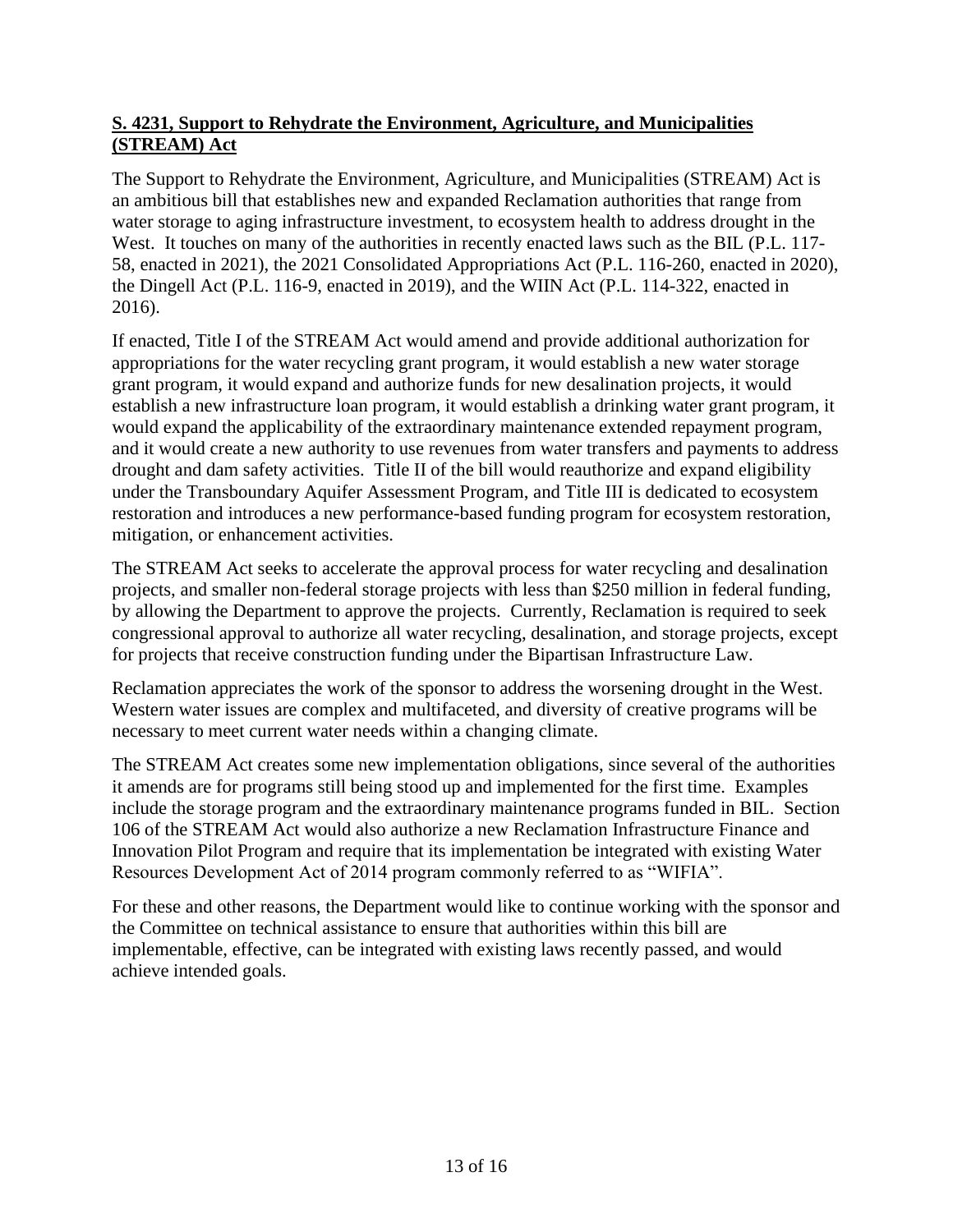## **S. 4231, Support to Rehydrate the Environment, Agriculture, and Municipalities (STREAM) Act**

The Support to Rehydrate the Environment, Agriculture, and Municipalities (STREAM) Act is an ambitious bill that establishes new and expanded Reclamation authorities that range from water storage to aging infrastructure investment, to ecosystem health to address drought in the West. It touches on many of the authorities in recently enacted laws such as the BIL (P.L. 117-58, enacted in 2021), the 2021 Consolidated Appropriations Act (P.L. 116-260, enacted in 2020), the Dingell Act (P.L. 116-9, enacted in 2019), and the WIIN Act (P.L. 114-322, enacted in 2016).

If enacted, Title I of the STREAM Act would amend and provide additional authorization for appropriations for the water recycling grant program, it would establish a new water storage grant program, it would expand and authorize funds for new desalination projects, it would establish a new infrastructure loan program, it would establish a drinking water grant program, it would expand the applicability of the extraordinary maintenance extended repayment program, and it would create a new authority to use revenues from water transfers and payments to address drought and dam safety activities. Title II of the bill would reauthorize and expand eligibility under the Transboundary Aquifer Assessment Program, and Title III is dedicated to ecosystem restoration and introduces a new performance-based funding program for ecosystem restoration, mitigation, or enhancement activities.

The STREAM Act seeks to accelerate the approval process for water recycling and desalination projects, and smaller non-federal storage projects with less than \$250 million in federal funding, by allowing the Department to approve the projects. Currently, Reclamation is required to seek congressional approval to authorize all water recycling, desalination, and storage projects, except for projects that receive construction funding under the Bipartisan Infrastructure Law.

Reclamation appreciates the work of the sponsor to address the worsening drought in the West. Western water issues are complex and multifaceted, and diversity of creative programs will be necessary to meet current water needs within a changing climate.

The STREAM Act creates some new implementation obligations, since several of the authorities it amends are for programs still being stood up and implemented for the first time. Examples include the storage program and the extraordinary maintenance programs funded in BIL. Section 106 of the STREAM Act would also authorize a new Reclamation Infrastructure Finance and Innovation Pilot Program and require that its implementation be integrated with existing Water Resources Development Act of 2014 program commonly referred to as "WIFIA".

For these and other reasons, the Department would like to continue working with the sponsor and the Committee on technical assistance to ensure that authorities within this bill are implementable, effective, can be integrated with existing laws recently passed, and would achieve intended goals.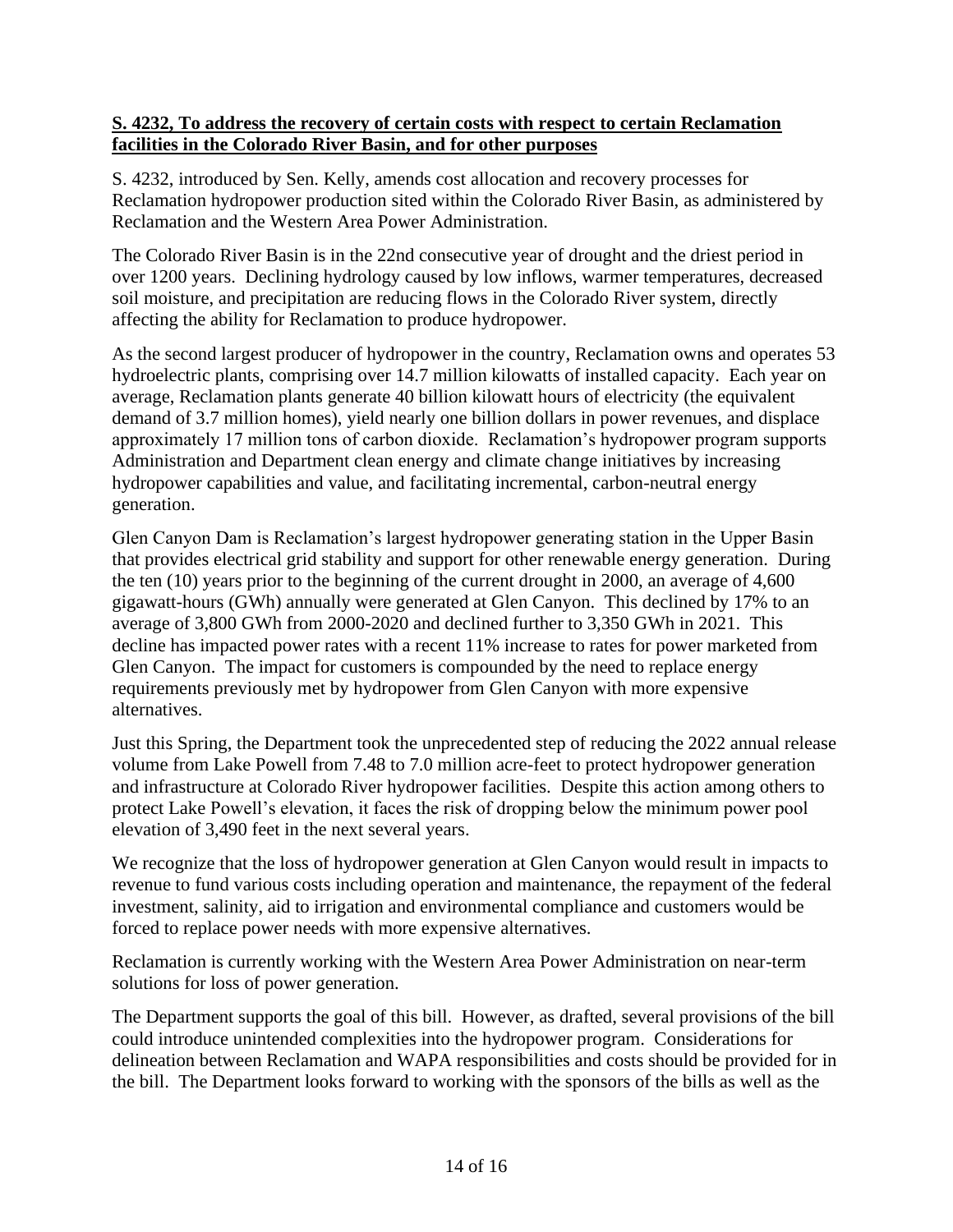#### **S. 4232, To address the recovery of certain costs with respect to certain Reclamation facilities in the Colorado River Basin, and for other purposes**

S. 4232, introduced by Sen. Kelly, amends cost allocation and recovery processes for Reclamation hydropower production sited within the Colorado River Basin, as administered by Reclamation and the Western Area Power Administration.

The Colorado River Basin is in the 22nd consecutive year of drought and the driest period in over 1200 years. Declining hydrology caused by low inflows, warmer temperatures, decreased soil moisture, and precipitation are reducing flows in the Colorado River system, directly affecting the ability for Reclamation to produce hydropower.

As the second largest producer of hydropower in the country, Reclamation owns and operates 53 hydroelectric plants, comprising over 14.7 million kilowatts of installed capacity. Each year on average, Reclamation plants generate 40 billion kilowatt hours of electricity (the equivalent demand of 3.7 million homes), yield nearly one billion dollars in power revenues, and displace approximately 17 million tons of carbon dioxide. Reclamation's hydropower program supports Administration and Department clean energy and climate change initiatives by increasing hydropower capabilities and value, and facilitating incremental, carbon-neutral energy generation.

Glen Canyon Dam is Reclamation's largest hydropower generating station in the Upper Basin that provides electrical grid stability and support for other renewable energy generation. During the ten (10) years prior to the beginning of the current drought in 2000, an average of 4,600 gigawatt-hours (GWh) annually were generated at Glen Canyon. This declined by 17% to an average of 3,800 GWh from 2000-2020 and declined further to 3,350 GWh in 2021. This decline has impacted power rates with a recent 11% increase to rates for power marketed from Glen Canyon. The impact for customers is compounded by the need to replace energy requirements previously met by hydropower from Glen Canyon with more expensive alternatives.

Just this Spring, the Department took the unprecedented step of reducing the 2022 annual release volume from Lake Powell from 7.48 to 7.0 million acre-feet to protect hydropower generation and infrastructure at Colorado River hydropower facilities. Despite this action among others to protect Lake Powell's elevation, it faces the risk of dropping below the minimum power pool elevation of 3,490 feet in the next several years.

We recognize that the loss of hydropower generation at Glen Canyon would result in impacts to revenue to fund various costs including operation and maintenance, the repayment of the federal investment, salinity, aid to irrigation and environmental compliance and customers would be forced to replace power needs with more expensive alternatives.

Reclamation is currently working with the Western Area Power Administration on near-term solutions for loss of power generation.

The Department supports the goal of this bill. However, as drafted, several provisions of the bill could introduce unintended complexities into the hydropower program. Considerations for delineation between Reclamation and WAPA responsibilities and costs should be provided for in the bill. The Department looks forward to working with the sponsors of the bills as well as the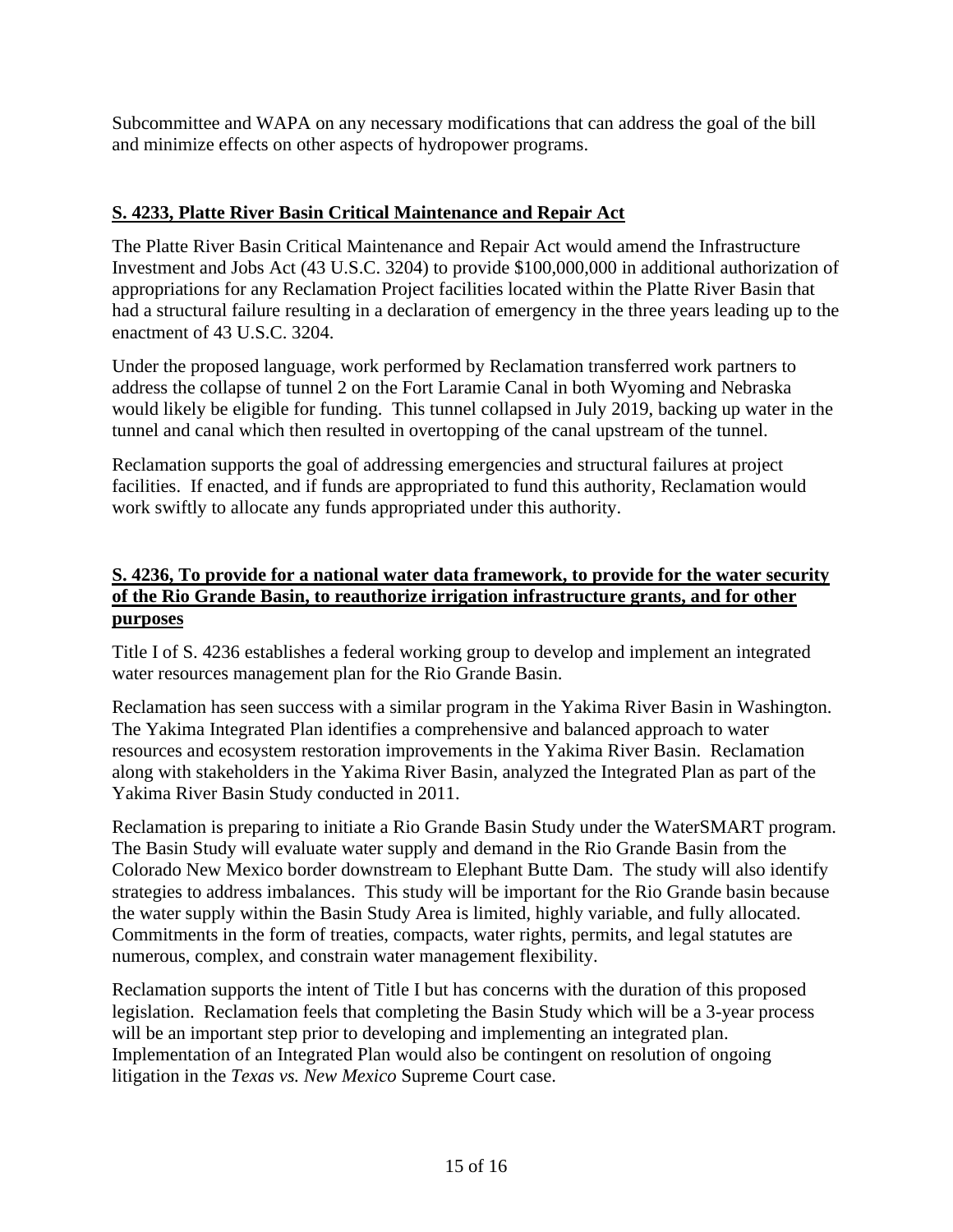Subcommittee and WAPA on any necessary modifications that can address the goal of the bill and minimize effects on other aspects of hydropower programs.

## **S. 4233, Platte River Basin Critical Maintenance and Repair Act**

The Platte River Basin Critical Maintenance and Repair Act would amend the Infrastructure Investment and Jobs Act (43 U.S.C. 3204) to provide \$100,000,000 in additional authorization of appropriations for any Reclamation Project facilities located within the Platte River Basin that had a structural failure resulting in a declaration of emergency in the three years leading up to the enactment of 43 U.S.C. 3204.

Under the proposed language, work performed by Reclamation transferred work partners to address the collapse of tunnel 2 on the Fort Laramie Canal in both Wyoming and Nebraska would likely be eligible for funding. This tunnel collapsed in July 2019, backing up water in the tunnel and canal which then resulted in overtopping of the canal upstream of the tunnel.

Reclamation supports the goal of addressing emergencies and structural failures at project facilities. If enacted, and if funds are appropriated to fund this authority, Reclamation would work swiftly to allocate any funds appropriated under this authority.

#### **S. 4236, To provide for a national water data framework, to provide for the water security of the Rio Grande Basin, to reauthorize irrigation infrastructure grants, and for other purposes**

Title I of S. 4236 establishes a federal working group to develop and implement an integrated water resources management plan for the Rio Grande Basin.

Reclamation has seen success with a similar program in the Yakima River Basin in Washington. The Yakima Integrated Plan identifies a comprehensive and balanced approach to water resources and ecosystem restoration improvements in the Yakima River Basin. Reclamation along with stakeholders in the Yakima River Basin, analyzed the Integrated Plan as part of the Yakima River Basin Study conducted in 2011.

Reclamation is preparing to initiate a Rio Grande Basin Study under the WaterSMART program. The Basin Study will evaluate water supply and demand in the Rio Grande Basin from the Colorado New Mexico border downstream to Elephant Butte Dam. The study will also identify strategies to address imbalances. This study will be important for the Rio Grande basin because the water supply within the Basin Study Area is limited, highly variable, and fully allocated. Commitments in the form of treaties, compacts, water rights, permits, and legal statutes are numerous, complex, and constrain water management flexibility.

Reclamation supports the intent of Title I but has concerns with the duration of this proposed legislation. Reclamation feels that completing the Basin Study which will be a 3-year process will be an important step prior to developing and implementing an integrated plan. Implementation of an Integrated Plan would also be contingent on resolution of ongoing litigation in the *Texas vs. New Mexico* Supreme Court case.